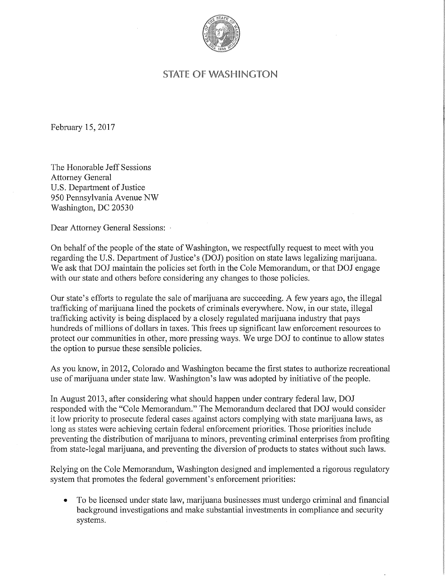

## **STATE OF WASHINGTON**

February 15, 2017

The Honorable Jeff Sessions Attorney General U.S. Department of Justice 950 Pennsylvania Avenue NW Washington, DC 20530

Dear Attorney General Sessions: .

On behalf of the people of the state of Washington, we respectfully request to meet with you regarding the U.S. Department of Justice's (DOJ) position on state laws legalizing marijuana. We ask that DOJ maintain the policies set forth in the Cole Memorandum, or that DOJ engage with our state and others before considering any changes to those policies.

Our state's efforts to regulate the sale of marijuana are succeeding. A few years ago, the illegal trafficking of marijuana lined the pockets of criminals everywhere. Now, in our state, illegal trafficking activity is being displaced by a closely regulated marijuana industry that pays hundreds of millions of dollars in taxes. This frees up significant law enforcement resources to protect our communities in other, more pressing ways. We urge DOJ to continue to allow states the option to pursue these sensible policies.

As you know, in 2012, Colorado and Washington became the first states to authorize recreational use of marijuana under state law. Washington's law was adopted by initiative of the people.

In August 2013, after considering what should happen under contrary federal law, DOJ responded with the "Cole Memorandum." The Memorandum declared that DOJ would consider it low priority to prosecute federal cases against actors complying with state marijuana laws, as long as states were achieving certain federal enforcement priorities. Those priorities include preventing the distribution of marijuana to minors, preventing criminal enterprises from profiting from state-legal marijuana, and preventing the diversion of products to states without such laws.

Relying on the Cole Memorandum, Washington designed and implemented a rigorous regulatory system that promotes the federal government's enforcement priorities:

To be licensed under state law, marijuana businesses must undergo criminal and financial background investigations and make substantial investments in compliance and security systems.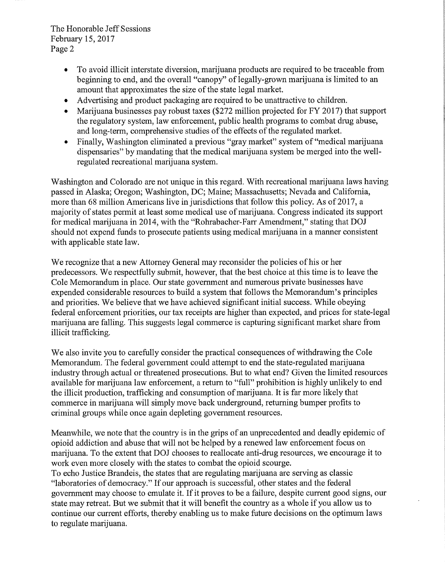The Honorable Jeff Sessions February 15, 2017 Page 2

- To avoid illicit interstate diversion, marijuana products are required to be traceable from beginning to end, and the overall "canopy" of legally-grown marijuana is limited to an amount that approximates the size of the state legal market.
- Advertising and product packaging are required to be unattractive to children.
- Marijuana businesses pay robust taxes (\$272 million projected for FY 2017) that support the regulatory system, law enforcement, public health programs to combat drug abuse, and long-term, comprehensive studies of the effects of the regulated market.
- Finally, Washington eliminated a previous "gray market" system of "medical marijuana dispensaries" by mandating that the medical marijuana system be merged into the wellregulated recreational marijuana system.

Washington and Colorado are not unique in this regard. With recreational marijuana laws having passed in Alaska; Oregon; Washington, DC; Maine; Massachusetts; Nevada and California, more than 68 million Americans live in jurisdictions that follow this policy. As of 2017, a majority of states permit at least some medical use of marijuana. Congress indicated its support for medical marijuana in 2014, with the "Rohrabacher-Farr Amendment," stating that DOJ should not expend funds to prosecute patients using medical marijuana in a manner consistent with applicable state law.

We recognize that a new Attorney General may reconsider the policies of his or her predecessors. We respectfully submit, however, that the best choice at this time is to leave the Cole Memorandum in place. Our state government and numerous private businesses have expended considerable resources to build a system that follows the Memorandum's principles and priorities. We believe that we have achieved significant initial success. While obeying federal enforcement priorities, our tax receipts are higher than expected, and prices for state-legal marijuana are falling. This suggests legal commerce is capturing significant market share from illicit trafficking.

We also invite you to carefully consider the practical consequences of withdrawing the Cole Memorandum. The federal government could attempt to end the state-regulated marijuana industry through actual or threatened prosecutions. But to what end? Given the limited resources available for marijuana law enforcement, a return to "full" prohibition is highly unlikely to end the illicit production, trafficking and consumption of marijuana. It is far more likely that commerce in marijuana will simply move back underground, returning bumper profits to criminal groups while once again depleting government resources.

Meanwhile, we note that the country is in the grips of an unprecedented and deadly epidemic of opioid addiction and abuse that will not be helped by a renewed law enforcement focus on marijuana. To the extent that DOJ chooses to reallocate anti-drug resources, we encourage it to work even more closely with the states to combat the opioid scourge.

To echo Justice Brandeis, the states that are regulating marijuana are serving as classic "laboratories of democracy." If our approach is successful, other states and the federal government may choose to emulate it. If it proves to be a failure, despite current good signs, our state may retreat. But we submit that it will benefit the country as a whole if you allow us to continue our current efforts, thereby enabling us to make future decisions on the optimum laws to regulate marijuana.